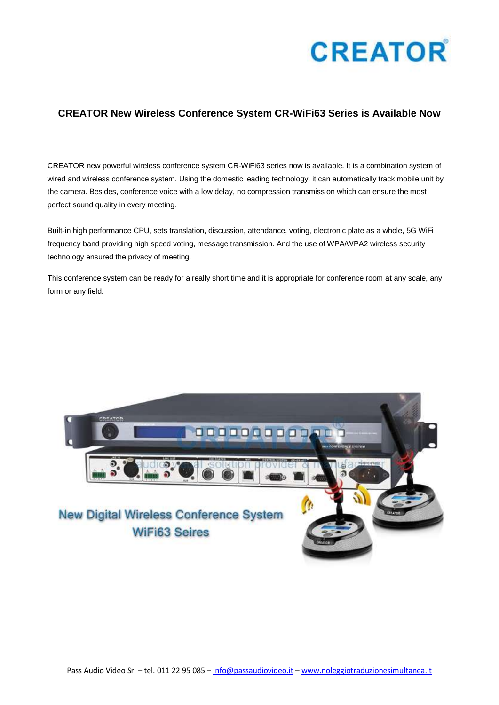

## **CREATOR New Wireless Conference System CR-WiFi63 Series is Available Now**

CREATOR new powerful wireless conference system CR-WiFi63 series now is available. It is a combination system of wired and wireless conference system. Using the domestic leading technology, it can automatically track mobile unit by the camera. Besides, conference voice with a low delay, no compression transmission which can ensure the most perfect sound quality in every meeting.

Built-in high performance CPU, sets translation, discussion, attendance, voting, electronic plate as a whole, 5G WiFi frequency band providing high speed voting, message transmission. And the use of WPA/WPA2 wireless security technology ensured the privacy of meeting.

This conference system can be ready for a really short time and it is appropriate for conference room at any scale, any form or any field.

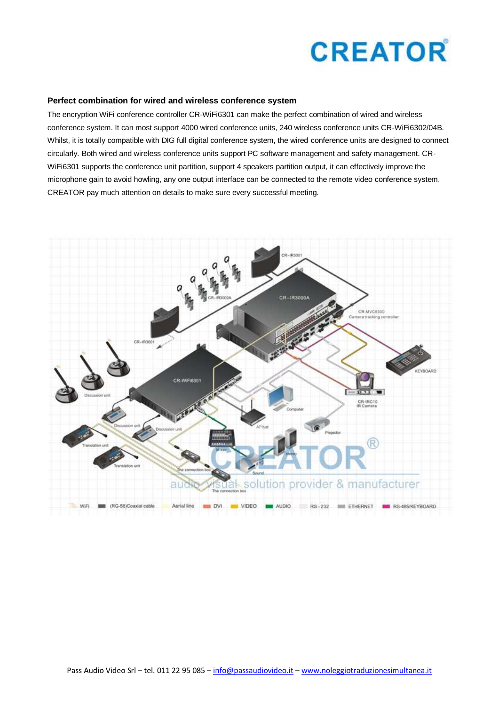

#### **Perfect combination for wired and wireless conference system**

The encryption WiFi conference controller CR-WiFi6301 can make the perfect combination of wired and wireless conference system. It can most support 4000 wired conference units, 240 wireless conference units CR-WiFi6302/04B. Whilst, it is totally compatible with DIG full digital conference system, the wired conference units are designed to connect circularly. Both wired and wireless conference units support PC software management and safety management. CR-WiFi6301 supports the conference unit partition, support 4 speakers partition output, it can effectively improve the microphone gain to avoid howling, any one output interface can be connected to the remote video conference system. CREATOR pay much attention on details to make sure every successful meeting.